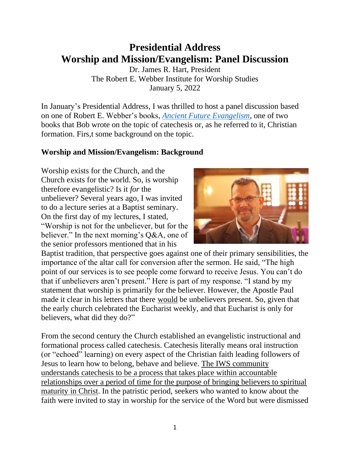## **Presidential Address Worship and Mission/Evangelism: Panel Discussion**

Dr. James R. Hart, President The Robert E. Webber Institute for Worship Studies January 5, 2022

In January's Presidential Address, I was thrilled to host a panel discussion based on one of Robert E. Webber's books, *[Ancient Future Evangelism](https://iws.christianbook.com/ancient-evangelism-making-church-forming-community/robert-webber/9780801091605/pd/091608?event=ESRCG)*, one of two books that Bob wrote on the topic of catechesis or, as he referred to it, Christian formation. Firs,t some background on the topic.

## **Worship and Mission/Evangelism: Background**

Worship exists for the Church, and the Church exists for the world. So, is worship therefore evangelistic? Is it *for* the unbeliever? Several years ago, I was invited to do a lecture series at a Baptist seminary. On the first day of my lectures, I stated, "Worship is not for the unbeliever, but for the believer." In the next morning's Q&A, one of the senior professors mentioned that in his



Baptist tradition, that perspective goes against one of their primary sensibilities, the importance of the altar call for conversion after the sermon. He said, "The high point of our services is to see people come forward to receive Jesus. You can't do that if unbelievers aren't present." Here is part of my response. "I stand by my statement that worship is primarily for the believer. However, the Apostle Paul made it clear in his letters that there would be unbelievers present. So, given that the early church celebrated the Eucharist weekly, and that Eucharist is only for believers, what did they do?"

From the second century the Church established an evangelistic instructional and formational process called catechesis. Catechesis literally means oral instruction (or "echoed" learning) on every aspect of the Christian faith leading followers of Jesus to learn how to belong, behave and believe. The IWS community understands catechesis to be a process that takes place within accountable relationships over a period of time for the purpose of bringing believers to spiritual maturity in Christ. In the patristic period, seekers who wanted to know about the faith were invited to stay in worship for the service of the Word but were dismissed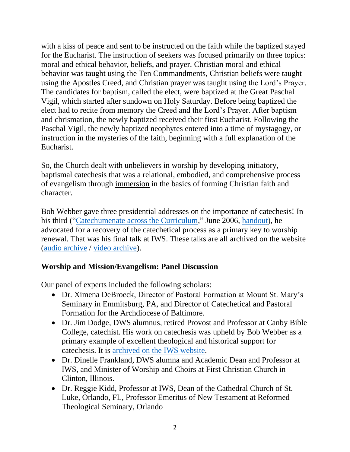with a kiss of peace and sent to be instructed on the faith while the baptized stayed for the Eucharist. The instruction of seekers was focused primarily on three topics: moral and ethical behavior, beliefs, and prayer. Christian moral and ethical behavior was taught using the Ten Commandments, Christian beliefs were taught using the Apostles Creed, and Christian prayer was taught using the Lord's Prayer. The candidates for baptism, called the elect, were baptized at the Great Paschal Vigil, which started after sundown on Holy Saturday. Before being baptized the elect had to recite from memory the Creed and the Lord's Prayer. After baptism and chrismation, the newly baptized received their first Eucharist. Following the Paschal Vigil, the newly baptized neophytes entered into a time of mystagogy, or instruction in the mysteries of the faith, beginning with a full explanation of the Eucharist.

So, the Church dealt with unbelievers in worship by developing initiatory, baptismal catechesis that was a relational, embodied, and comprehensive process of evangelism through immersion in the basics of forming Christian faith and character.

Bob Webber gave three presidential addresses on the importance of catechesis! In his third (["Catechumenate across the Curriculum,](http://alumni.iws.edu/mp3/Address%20June%202006.mp3)" June 2006, [handout\)](http://alumni.iws.edu/resources/Catechumenate%20Across%20the%20Curriculum.htm), he advocated for a recovery of the catechetical process as a primary key to worship renewal. That was his final talk at IWS. These talks are all archived on the website [\(audio archive](https://iws.edu/category/iws/media/audio/) / [video archive\)](https://iws.edu/category/iws/resources/video-media/).

## **Worship and Mission/Evangelism: Panel Discussion**

Our panel of experts included the following scholars:

- Dr. Ximena DeBroeck, Director of Pastoral Formation at Mount St. Mary's Seminary in Emmitsburg, PA, and Director of Catechetical and Pastoral Formation for the Archdiocese of Baltimore.
- Dr. Jim Dodge, DWS alumnus, retired Provost and Professor at Canby Bible College, catechist. His work on catechesis was upheld by Bob Webber as a primary example of excellent theological and historical support for catechesis. It is [archived on the IWS website.](https://iws.edu/wp-content/uploads/2012/01/FinalDraft2.0Body-and-Front-Matter.pdf)
- Dr. Dinelle Frankland, DWS alumna and Academic Dean and Professor at IWS, and Minister of Worship and Choirs at First Christian Church in Clinton, Illinois.
- Dr. Reggie Kidd, Professor at IWS, Dean of the Cathedral Church of St. Luke, Orlando, FL, Professor Emeritus of New Testament at Reformed Theological Seminary, Orlando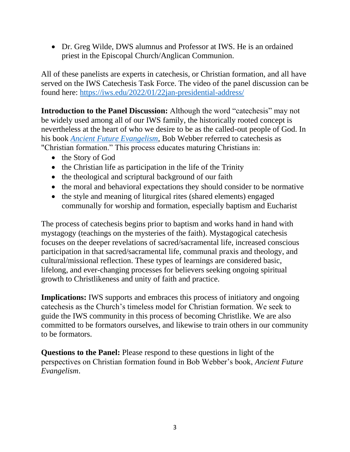• Dr. Greg Wilde, DWS alumnus and Professor at IWS. He is an ordained priest in the Episcopal Church/Anglican Communion.

All of these panelists are experts in catechesis, or Christian formation, and all have served on the IWS Catechesis Task Force. The video of the panel discussion can be found here: <https://iws.edu/2022/01/22jan-presidential-address/>

**Introduction to the Panel Discussion:** Although the word "catechesis" may not be widely used among all of our IWS family, the historically rooted concept is nevertheless at the heart of who we desire to be as the called-out people of God. In his book *[Ancient Future Evangelism](https://iws.christianbook.com/ancient-evangelism-making-church-forming-community/robert-webber/9780801091605/pd/091608?event=ESRCG)*, Bob Webber referred to catechesis as "Christian formation." This process educates maturing Christians in:

- the Story of God
- the Christian life as participation in the life of the Trinity
- the theological and scriptural background of our faith
- the moral and behavioral expectations they should consider to be normative
- the style and meaning of liturgical rites (shared elements) engaged communally for worship and formation, especially baptism and Eucharist

The process of catechesis begins prior to baptism and works hand in hand with mystagogy (teachings on the mysteries of the faith). Mystagogical catechesis focuses on the deeper revelations of sacred/sacramental life, increased conscious participation in that sacred/sacramental life, communal praxis and theology, and cultural/missional reflection. These types of learnings are considered basic, lifelong, and ever-changing processes for believers seeking ongoing spiritual growth to Christlikeness and unity of faith and practice.

**Implications:** IWS supports and embraces this process of initiatory and ongoing catechesis as the Church's timeless model for Christian formation. We seek to guide the IWS community in this process of becoming Christlike. We are also committed to be formators ourselves, and likewise to train others in our community to be formators.

**Questions to the Panel:** Please respond to these questions in light of the perspectives on Christian formation found in Bob Webber's book, *Ancient Future Evangelism*.